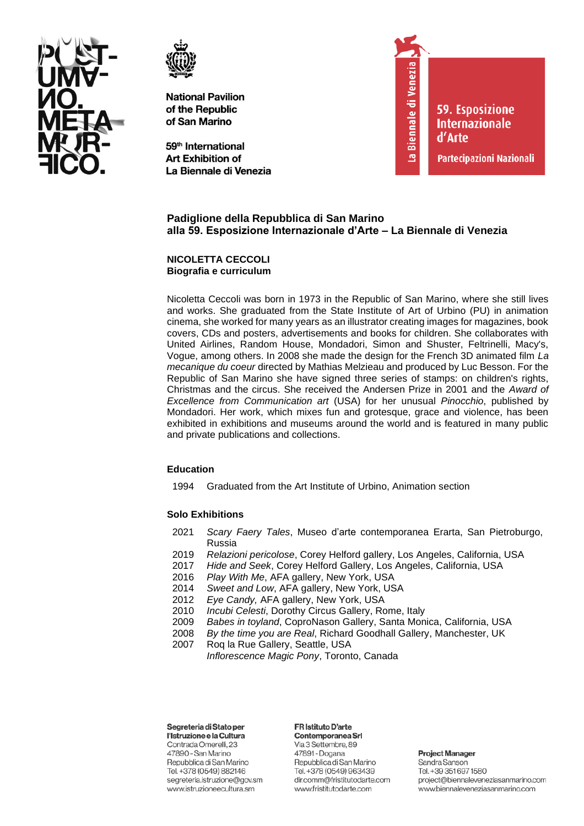



59<sup>th</sup> International **Art Exhibition of** La Biennale di Venezia



**59. Esposizione Internazionale** d'Arte

Partecipazioni Nazionali

# **Padiglione della Repubblica di San Marino alla 59. Esposizione Internazionale d'Arte – La Biennale di Venezia**

**NICOLETTA CECCOLI Biografia e curriculum**

Nicoletta Ceccoli was born in 1973 in the Republic of San Marino, where she still lives and works. She graduated from the State Institute of Art of Urbino (PU) in animation cinema, she worked for many years as an illustrator creating images for magazines, book covers, CDs and posters, advertisements and books for children. She collaborates with United Airlines, Random House, Mondadori, Simon and Shuster, Feltrinelli, Macy's, Vogue, among others. In 2008 she made the design for the French 3D animated film *La mecanique du coeur* directed by Mathias Melzieau and produced by Luc Besson. For the Republic of San Marino she have signed three series of stamps: on children's rights, Christmas and the circus. She received the Andersen Prize in 2001 and the *Award of Excellence from Communication art* (USA) for her unusual *Pinocchio*, published by Mondadori. Her work, which mixes fun and grotesque, grace and violence, has been exhibited in exhibitions and museums around the world and is featured in many public and private publications and collections.

## **Education**

1994 Graduated from the Art Institute of Urbino, Animation section

## **Solo Exhibitions**

- 2021 *Scary Faery Tales*, Museo d'arte contemporanea Erarta, San Pietroburgo, Russia
- 2019 *Relazioni pericolose*, Corey Helford gallery, Los Angeles, California, USA
- 2017 *Hide and Seek*, Corey Helford Gallery, Los Angeles, California, USA
- 2016 *Play With Me*, AFA gallery, New York, USA
- 2014 *Sweet and Low*, AFA gallery, New York, USA
- 2012 *Eye Candy,* AFA gallery, New York, USA
- 2010 *Incubi Celesti*, Dorothy Circus Gallery, Rome, Italy
- 2009 *Babes in toyland*, CoproNason Gallery, Santa Monica, California, USA
- 2008 *By the time you are Real*, Richard Goodhall Gallery, Manchester, UK
- 2007 Roq la Rue Gallery, Seattle, USA *Inflorescence Magic Pony*, Toronto, Canada

Segreteria di Stato per l'Istruzione e la Cultura Contrada Omerelli, 23 47890 - San Marino Repubblica di San Marino Tel. +378 (0549) 882146 segreteria.istruzione@gov.sm www.istruzioneecultura.sm

#### FR Istituto D'arte

Contemporanea Srl Via 3 Settembre, 89 47891 - Dogana Repubblica di San Marino Tel. +378 (0549) 963439 dir.comm@fristitutodarte.com www.fristitutodarte.com

**Project Manager** Sandra Sanson Tel. +39 351 697 1580 project@biennaleveneziasanmarino.com www.biennaleveneziasanmarino.com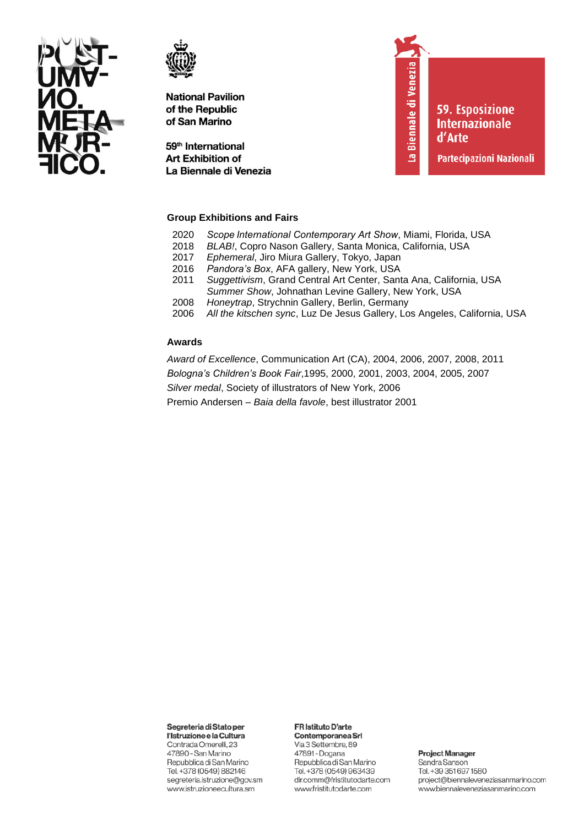



59<sup>th</sup> International **Art Exhibition of** La Biennale di Venezia La Biennale di Venezia

**59. Esposizione Internazionale** d'Arte

Partecipazioni Nazionali

## **Group Exhibitions and Fairs**

- 2020 *Scope International Contemporary Art Show*, Miami, Florida, USA
- 2018 *BLAB!*, Copro Nason Gallery, Santa Monica, California, USA
- 2017 *Ephemeral*, Jiro Miura Gallery, Tokyo, Japan
- 2016 *Pandora's Box*, AFA gallery, New York, USA
- 2011 *Suggettivism*, Grand Central Art Center, Santa Ana, California, USA *Summer Show*, Johnathan Levine Gallery, New York, USA
- 2008 *Honeytrap*, Strychnin Gallery, Berlin, Germany
- 2006 *All the kitschen sync*, Luz De Jesus Gallery, Los Angeles, California, USA

#### **Awards**

*Award of Excellence*, Communication Art (CA), 2004, 2006, 2007, 2008, 2011 *Bologna's Children's Book Fair*,1995, 2000, 2001, 2003, 2004, 2005, 2007 *Silver medal*, Society of illustrators of New York, 2006 Premio Andersen – *Baia della favole*, best illustrator 2001

Segreteria di Stato per

l'Istruzione e la Cultura Contrada Omerelli, 23 47890 - San Marino Repubblica di San Marino Tel. +378 (0549) 882146 segreteria.istruzione@gov.sm www.istruzioneecultura.sm

#### FR Istituto D'arte

Contemporanea Srl Via 3 Settembre, 89 47891 - Dogana Repubblica di San Marino Tel. +378 (0549) 963439 dir.comm@fristitutodarte.com www.fristitutodarte.com

**Project Manager** 

Sandra Sanson Tel. +39 351 697 1580 project@biennaleveneziasanmarino.com www.biennaleveneziasanmarino.com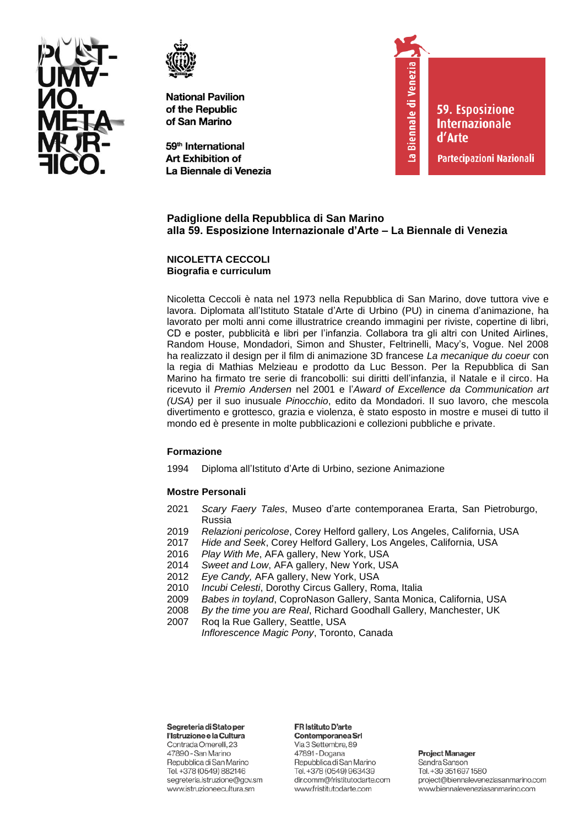



59<sup>th</sup> International **Art Exhibition of** La Biennale di Venezia



**59. Esposizione Internazionale** d'Arte

Partecipazioni Nazionali

# **Padiglione della Repubblica di San Marino alla 59. Esposizione Internazionale d'Arte – La Biennale di Venezia**

**NICOLETTA CECCOLI Biografia e curriculum**

Nicoletta Ceccoli è nata nel 1973 nella Repubblica di San Marino, dove tuttora vive e lavora. Diplomata all'Istituto Statale d'Arte di Urbino (PU) in cinema d'animazione, ha lavorato per molti anni come illustratrice creando immagini per riviste, copertine di libri, CD e poster, pubblicità e libri per l'infanzia. Collabora tra gli altri con United Airlines, Random House, Mondadori, Simon and Shuster, Feltrinelli, Macy's, Vogue. Nel 2008 ha realizzato il design per il film di animazione 3D francese *La mecanique du coeur* con la regia di Mathias Melzieau e prodotto da Luc Besson. Per la Repubblica di San Marino ha firmato tre serie di francobolli: sui diritti dell'infanzia, il Natale e il circo. Ha ricevuto il *Premio Andersen* nel 2001 e l'*Award of Excellence da Communication art (USA)* per il suo inusuale *Pinocchio*, edito da Mondadori. Il suo lavoro, che mescola divertimento e grottesco, grazia e violenza, è stato esposto in mostre e musei di tutto il mondo ed è presente in molte pubblicazioni e collezioni pubbliche e private.

#### **Formazione**

1994 Diploma all'Istituto d'Arte di Urbino, sezione Animazione

#### **Mostre Personali**

- 2021 *Scary Faery Tales*, Museo d'arte contemporanea Erarta, San Pietroburgo, Russia
- 2019 *Relazioni pericolose*, Corey Helford gallery, Los Angeles, California, USA
- 2017 *Hide and Seek*, Corey Helford Gallery, Los Angeles, California, USA
- 2016 *Play With Me*, AFA gallery, New York, USA
- 2014 *Sweet and Low*, AFA gallery, New York, USA
- Eye Candy, AFA gallery, New York, USA
- 2010 *Incubi Celesti*, Dorothy Circus Gallery, Roma, Italia
- 2009 *Babes in toyland*, CoproNason Gallery, Santa Monica, California, USA
- 2008 *By the time you are Real*, Richard Goodhall Gallery, Manchester, UK
- 2007 Roq la Rue Gallery, Seattle, USA
	- *Inflorescence Magic Pony*, Toronto, Canada

## Segreteria di Stato per

l'Istruzione e la Cultura Contrada Omerelli, 23 47890 - San Marino Repubblica di San Marino Tel. +378 (0549) 882146 segreteria.istruzione@gov.sm www.istruzioneecultura.sm

#### FR Istituto D'arte

Contemporanea Srl Via 3 Settembre, 89 47891 - Dogana Repubblica di San Marino Tel. +378 (0549) 963439 dir.comm@fristitutodarte.com www.fristitutodarte.com

#### **Project Manager** Sandra Sanson Tel. +39 351 697 1580 project@biennaleveneziasanmarino.com www.biennaleveneziasanmarino.com